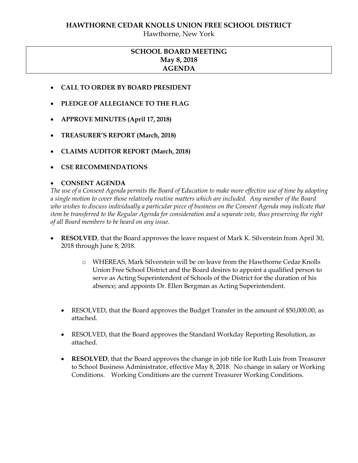#### **HAWTHORNE CEDAR KNOLLS UNION FREE SCHOOL DISTRICT**

Hawthorne, New York

# **SCHOOL BOARD MEETING May 8, 2018 AGENDA**

- **CALL TO ORDER BY BOARD PRESIDENT**
- **PLEDGE OF ALLEGIANCE TO THE FLAG**
- **APPROVE MINUTES (April 17, 2018)**
- **TREASURER'S REPORT (March, 2018)**
- **CLAIMS AUDITOR REPORT (March, 2018)**
- **CSE RECOMMENDATIONS**

#### **CONSENT AGENDA**

*The use of a Consent Agenda permits the Board of Education to make more effective use of time by adopting a single motion to cover those relatively routine matters which are included. Any member of the Board who wishes to discuss individually a particular piece of business on the Consent Agenda may indicate that item be transferred to the Regular Agenda for consideration and a separate vote, thus preserving the right of all Board members to be heard on any issue.* 

- **RESOLVED**, that the Board approves the leave request of Mark K. Silverstein from April 30, 2018 through June 8, 2018.
	- o WHEREAS, Mark Silverstein will be on leave from the Hawthorne Cedar Knolls Union Free School District and the Board desires to appoint a qualified person to serve as Acting Superintendent of Schools of the District for the duration of his absence; and appoints Dr. Ellen Bergman as Acting Superintendent.
	- RESOLVED, that the Board approves the Budget Transfer in the amount of \$50,000.00, as attached.
	- RESOLVED, that the Board approves the Standard Workday Reporting Resolution, as attached.
	- **RESOLVED**, that the Board approves the change in job title for Ruth Luis from Treasurer to School Business Administrator, effective May 8, 2018. No change in salary or Working Conditions. Working Conditions are the current Treasurer Working Conditions.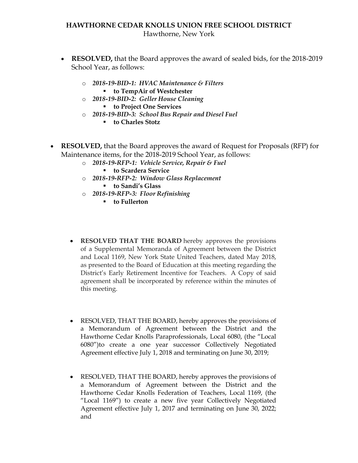## **HAWTHORNE CEDAR KNOLLS UNION FREE SCHOOL DISTRICT** Hawthorne, New York

- **RESOLVED,** that the Board approves the award of sealed bids, for the 2018-2019 School Year, as follows:
	- o *2018-19-BID-1: HVAC Maintenance & Filters*  **to TempAir of Westchester**
	- o *2018-19-BID-2: Geller House Cleaning* **to Project One Services**
	- o *2018-19-BID-3: School Bus Repair and Diesel Fuel*
		- **to Charles Stotz**
- **RESOLVED,** that the Board approves the award of Request for Proposals (RFP) for Maintenance items, for the 2018-2019 School Year, as follows:
	- o *2018-19-RFP-1: Vehicle Service, Repair & Fuel* 
		- **to Scardera Service**
	- o *2018-19-RFP-2: Window Glass Replacement*
		- **to Sandi's Glass**
	- o *2018-19-RFP-3: Floor Refinishing*
		- **to Fullerton**
	- **RESOLVED THAT THE BOARD** hereby approves the provisions of a Supplemental Memoranda of Agreement between the District and Local 1169, New York State United Teachers, dated May 2018, as presented to the Board of Education at this meeting regarding the District's Early Retirement Incentive for Teachers. A Copy of said agreement shall be incorporated by reference within the minutes of this meeting.
	- RESOLVED, THAT THE BOARD, hereby approves the provisions of a Memorandum of Agreement between the District and the Hawthorne Cedar Knolls Paraprofessionals, Local 6080, (the "Local 6080")to create a one year successor Collectively Negotiated Agreement effective July 1, 2018 and terminating on June 30, 2019;
	- RESOLVED, THAT THE BOARD, hereby approves the provisions of a Memorandum of Agreement between the District and the Hawthorne Cedar Knolls Federation of Teachers, Local 1169, (the "Local 1169") to create a new five year Collectively Negotiated Agreement effective July 1, 2017 and terminating on June 30, 2022; and